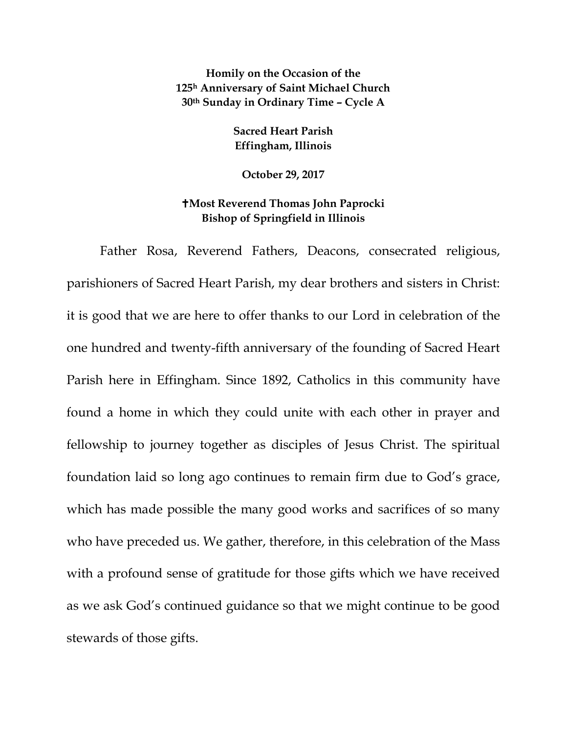**Homily on the Occasion of the 125h Anniversary of Saint Michael Church 30th Sunday in Ordinary Time – Cycle A**

> **Sacred Heart Parish Effingham, Illinois**

**October 29, 2017**

## **Most Reverend Thomas John Paprocki Bishop of Springfield in Illinois**

Father Rosa, Reverend Fathers, Deacons, consecrated religious, parishioners of Sacred Heart Parish, my dear brothers and sisters in Christ: it is good that we are here to offer thanks to our Lord in celebration of the one hundred and twenty-fifth anniversary of the founding of Sacred Heart Parish here in Effingham. Since 1892, Catholics in this community have found a home in which they could unite with each other in prayer and fellowship to journey together as disciples of Jesus Christ. The spiritual foundation laid so long ago continues to remain firm due to God's grace, which has made possible the many good works and sacrifices of so many who have preceded us. We gather, therefore, in this celebration of the Mass with a profound sense of gratitude for those gifts which we have received as we ask God's continued guidance so that we might continue to be good stewards of those gifts.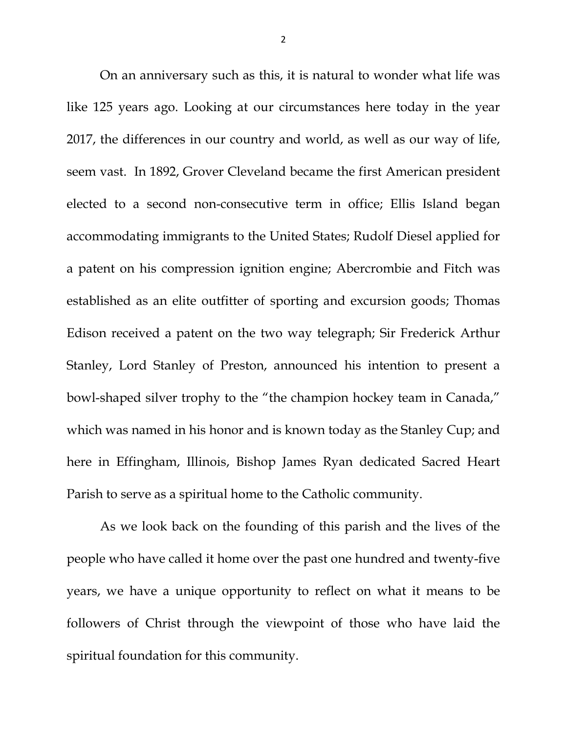On an anniversary such as this, it is natural to wonder what life was like 125 years ago. Looking at our circumstances here today in the year 2017, the differences in our country and world, as well as our way of life, seem vast. In 1892, Grover Cleveland became the first American president elected to a second non-consecutive term in office; Ellis Island began accommodating immigrants to the United States; Rudolf Diesel applied for a patent on his compression ignition engine; Abercrombie and Fitch was established as an elite outfitter of sporting and excursion goods; Thomas Edison received a patent on the two way telegraph; Sir Frederick Arthur Stanley, Lord Stanley of Preston, announced his intention to present a bowl-shaped silver trophy to the "the champion hockey team in Canada," which was named in his honor and is known today as the Stanley Cup; and here in Effingham, Illinois, Bishop James Ryan dedicated Sacred Heart Parish to serve as a spiritual home to the Catholic community.

As we look back on the founding of this parish and the lives of the people who have called it home over the past one hundred and twenty-five years, we have a unique opportunity to reflect on what it means to be followers of Christ through the viewpoint of those who have laid the spiritual foundation for this community.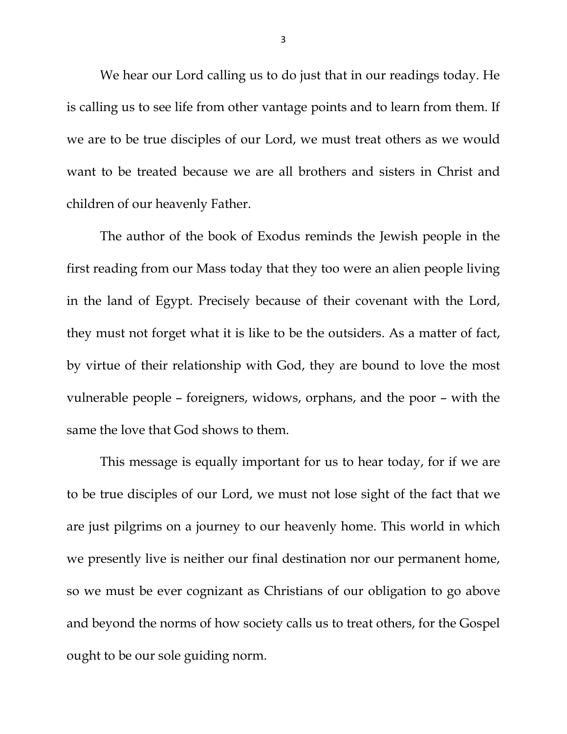We hear our Lord calling us to do just that in our readings today. He is calling us to see life from other vantage points and to learn from them. If we are to be true disciples of our Lord, we must treat others as we would want to be treated because we are all brothers and sisters in Christ and children of our heavenly Father.

The author of the book of Exodus reminds the Jewish people in the first reading from our Mass today that they too were an alien people living in the land of Egypt. Precisely because of their covenant with the Lord, they must not forget what it is like to be the outsiders. As a matter of fact, by virtue of their relationship with God, they are bound to love the most vulnerable people – foreigners, widows, orphans, and the poor – with the same the love that God shows to them.

This message is equally important for us to hear today, for if we are to be true disciples of our Lord, we must not lose sight of the fact that we are just pilgrims on a journey to our heavenly home. This world in which we presently live is neither our final destination nor our permanent home, so we must be ever cognizant as Christians of our obligation to go above and beyond the norms of how society calls us to treat others, for the Gospel ought to be our sole guiding norm.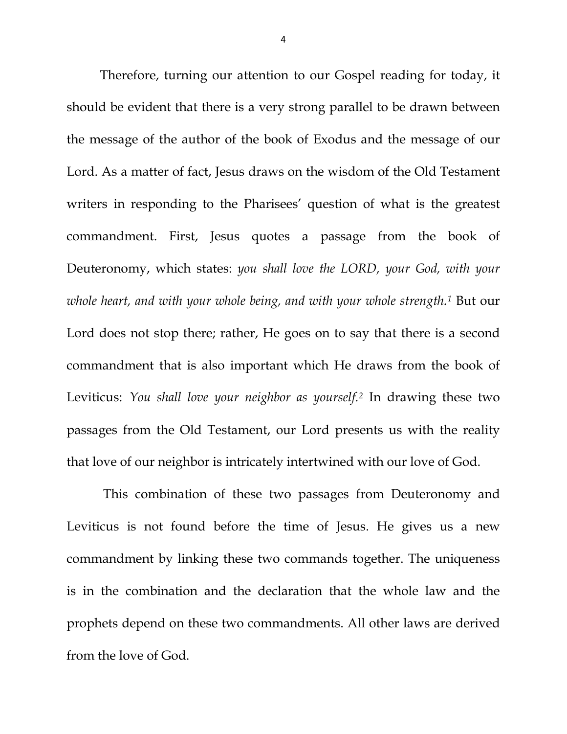<span id="page-3-1"></span><span id="page-3-0"></span>Therefore, turning our attention to our Gospel reading for today, it should be evident that there is a very strong parallel to be drawn between the message of the author of the book of Exodus and the message of our Lord. As a matter of fact, Jesus draws on the wisdom of the Old Testament writers in responding to the Pharisees' question of what is the greatest commandment. First, Jesus quotes a passage from the book of Deuteronomy, which states: *you shall love the LORD, your God, with your whole heart, and with your whole being, and with your whole strength[.1](#page-3-0)* But our Lord does not stop there; rather, He goes on to say that there is a second commandment that is also important which He draws from the book of Leviticus: *You shall love your neighbor as yourself.[2](#page-3-1)* In drawing these two passages from the Old Testament, our Lord presents us with the reality that love of our neighbor is intricately intertwined with our love of God.

This combination of these two passages from Deuteronomy and Leviticus is not found before the time of Jesus. He gives us a new commandment by linking these two commands together. The uniqueness is in the combination and the declaration that the whole law and the prophets depend on these two commandments. All other laws are derived from the love of God.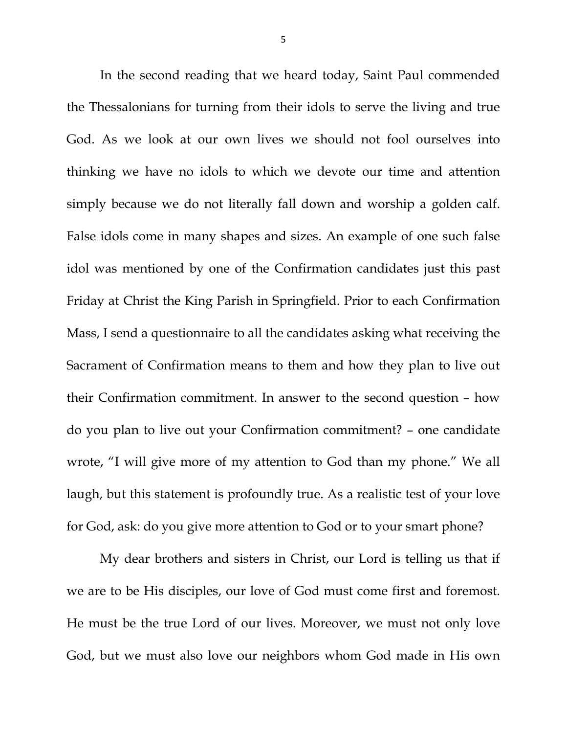In the second reading that we heard today, Saint Paul commended the Thessalonians for turning from their idols to serve the living and true God. As we look at our own lives we should not fool ourselves into thinking we have no idols to which we devote our time and attention simply because we do not literally fall down and worship a golden calf. False idols come in many shapes and sizes. An example of one such false idol was mentioned by one of the Confirmation candidates just this past Friday at Christ the King Parish in Springfield. Prior to each Confirmation Mass, I send a questionnaire to all the candidates asking what receiving the Sacrament of Confirmation means to them and how they plan to live out their Confirmation commitment. In answer to the second question – how do you plan to live out your Confirmation commitment? – one candidate wrote, "I will give more of my attention to God than my phone." We all laugh, but this statement is profoundly true. As a realistic test of your love for God, ask: do you give more attention to God or to your smart phone?

My dear brothers and sisters in Christ, our Lord is telling us that if we are to be His disciples, our love of God must come first and foremost. He must be the true Lord of our lives. Moreover, we must not only love God, but we must also love our neighbors whom God made in His own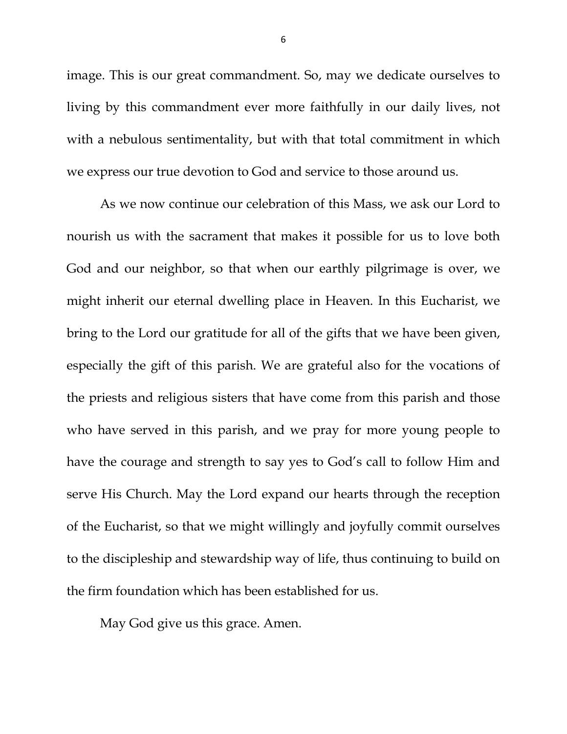image. This is our great commandment. So, may we dedicate ourselves to living by this commandment ever more faithfully in our daily lives, not with a nebulous sentimentality, but with that total commitment in which we express our true devotion to God and service to those around us.

As we now continue our celebration of this Mass, we ask our Lord to nourish us with the sacrament that makes it possible for us to love both God and our neighbor, so that when our earthly pilgrimage is over, we might inherit our eternal dwelling place in Heaven. In this Eucharist, we bring to the Lord our gratitude for all of the gifts that we have been given, especially the gift of this parish. We are grateful also for the vocations of the priests and religious sisters that have come from this parish and those who have served in this parish, and we pray for more young people to have the courage and strength to say yes to God's call to follow Him and serve His Church. May the Lord expand our hearts through the reception of the Eucharist, so that we might willingly and joyfully commit ourselves to the discipleship and stewardship way of life, thus continuing to build on the firm foundation which has been established for us.

May God give us this grace. Amen.

6